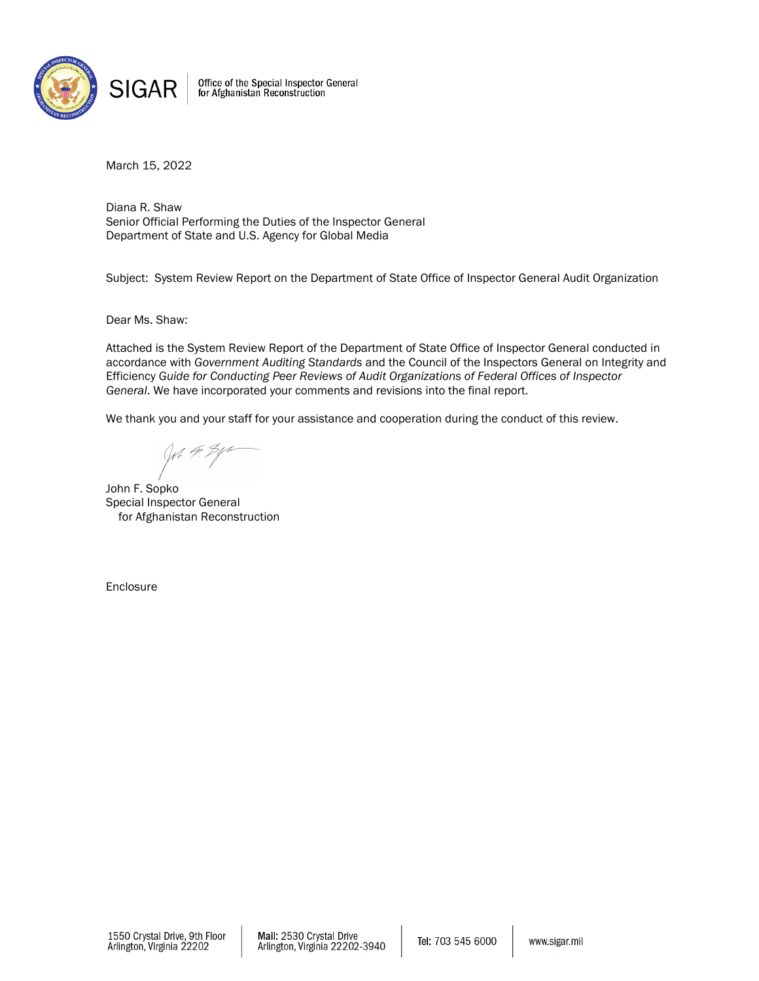

Office of the Special Inspector General<br>for Afghanistan Reconstruction

March 15, 2022

Diana R. Shaw Senior Official Performing the Duties of the Inspector General Department of State and U.S. Agency for Global Media

Subject: System Review Report on the Department of State Office of Inspector General Audit Organization

Dear Ms. Shaw:

Attached is the System Review Report of the Department of State Office of Inspector General conducted in accordance with *Government Auditing Standards* and the Council of the Inspectors General on Integrity and Efficiency *Guide for Conducting Peer Reviews of Audit Organizations of Federal Offices of Inspector General*. We have incorporated your comments and revisions into the final report.

We thank you and your staff for your assistance and cooperation during the conduct of this review.

John F. Sopko Special Inspector General for Afghanistan Reconstruction

Enclosure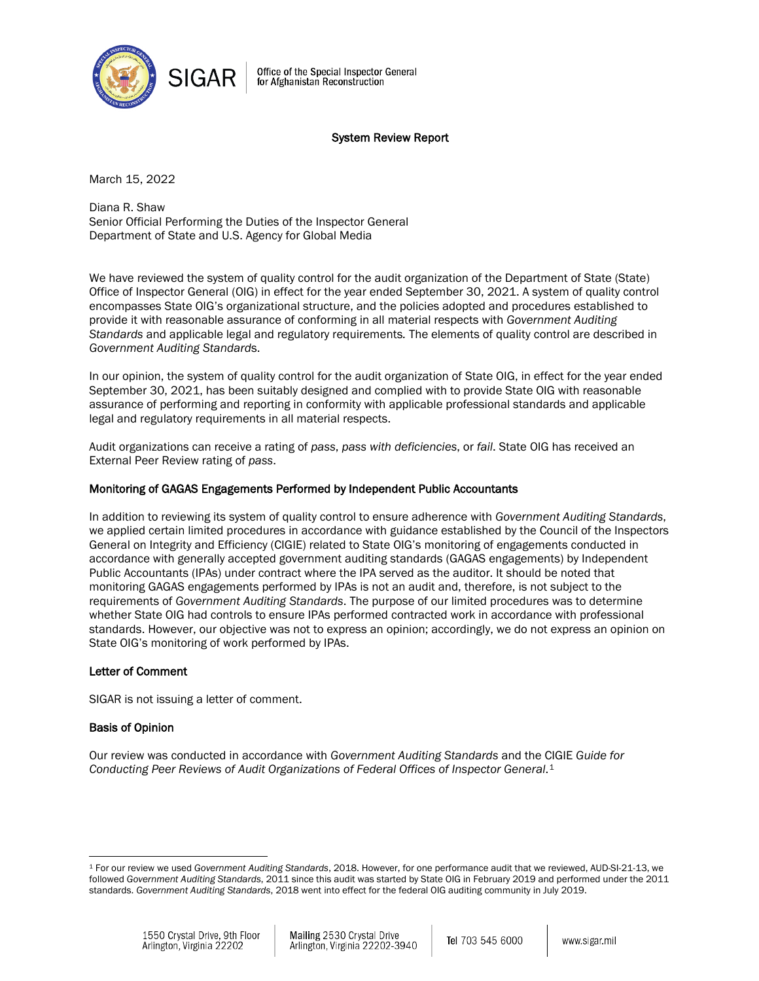

Office of the Special Inspector General for Afghanistan Reconstruction

### System Review Report

March 15, 2022

Diana R. Shaw Senior Official Performing the Duties of the Inspector General Department of State and U.S. Agency for Global Media

We have reviewed the system of quality control for the audit organization of the Department of State (State) Office of Inspector General (OIG) in effect for the year ended September 30, 2021. A system of quality control encompasses State OIG's organizational structure, and the policies adopted and procedures established to provide it with reasonable assurance of conforming in all material respects with *Government Auditing Standards* and applicable legal and regulatory requirements*.* The elements of quality control are described in *Government Auditing Standard*s.

In our opinion, the system of quality control for the audit organization of State OIG, in effect for the year ended September 30, 2021, has been suitably designed and complied with to provide State OIG with reasonable assurance of performing and reporting in conformity with applicable professional standards and applicable legal and regulatory requirements in all material respects.

Audit organizations can receive a rating of *pass*, *pass with deficiencies*, or *fail*. State OIG has received an External Peer Review rating of *pass*.

# Monitoring of GAGAS Engagements Performed by Independent Public Accountants

In addition to reviewing its system of quality control to ensure adherence with *Government Auditing Standards*, we applied certain limited procedures in accordance with guidance established by the Council of the Inspectors General on Integrity and Efficiency (CIGIE) related to State OIG's monitoring of engagements conducted in accordance with generally accepted government auditing standards (GAGAS engagements) by Independent Public Accountants (IPAs) under contract where the IPA served as the auditor. It should be noted that monitoring GAGAS engagements performed by IPAs is not an audit and, therefore, is not subject to the requirements of *Government Auditing Standards*. The purpose of our limited procedures was to determine whether State OIG had controls to ensure IPAs performed contracted work in accordance with professional standards. However, our objective was not to express an opinion; accordingly, we do not express an opinion on State OIG's monitoring of work performed by IPAs.

### Letter of Comment

SIGAR is not issuing a letter of comment.

### Basis of Opinion

Our review was conducted in accordance with *Government Auditing Standards* and the CIGIE *Guide for Conducting Peer Reviews of Audit Organizations of Federal Offices of Inspector General*.[1](#page-1-0)

<span id="page-1-0"></span> $\overline{a}$ <sup>1</sup> For our review we used *Government Auditing Standards*, 2018. However, for one performance audit that we reviewed, AUD-SI-21-13, we followed *Government Auditing Standards*, 2011 since this audit was started by State OIG in February 2019 and performed under the 2011 standards. *Government Auditing Standards*, 2018 went into effect for the federal OIG auditing community in July 2019.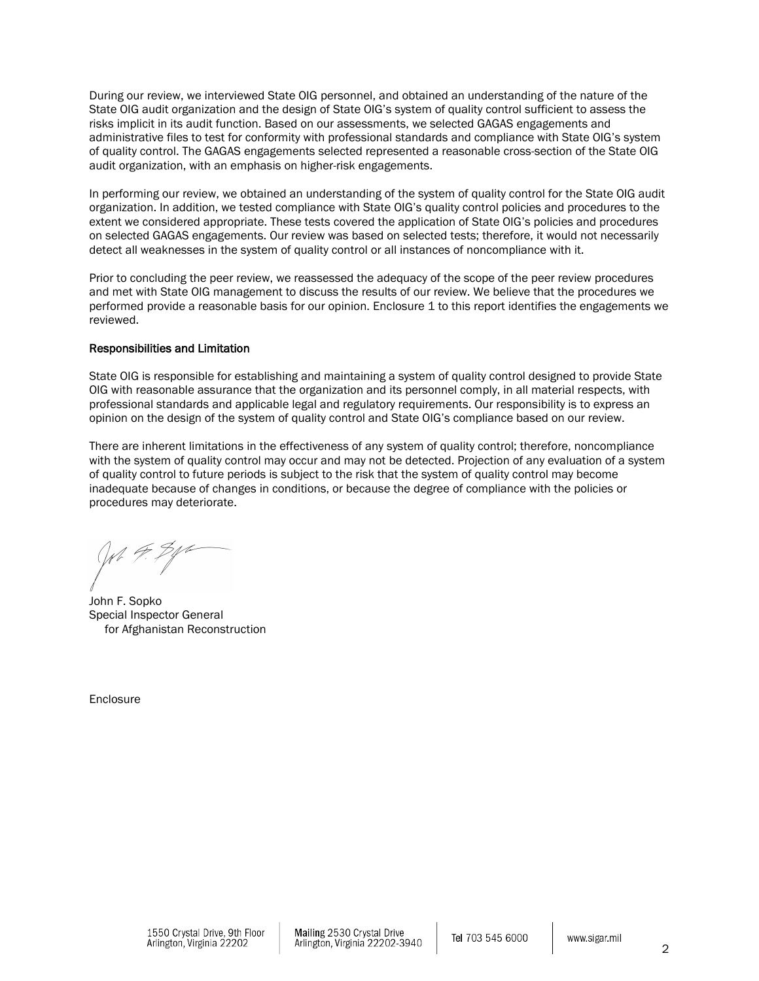During our review, we interviewed State OIG personnel, and obtained an understanding of the nature of the State OIG audit organization and the design of State OIG's system of quality control sufficient to assess the risks implicit in its audit function. Based on our assessments, we selected GAGAS engagements and administrative files to test for conformity with professional standards and compliance with State OIG's system of quality control. The GAGAS engagements selected represented a reasonable cross-section of the State OIG audit organization, with an emphasis on higher-risk engagements.

In performing our review, we obtained an understanding of the system of quality control for the State OIG audit organization. In addition, we tested compliance with State OIG's quality control policies and procedures to the extent we considered appropriate. These tests covered the application of State OIG's policies and procedures on selected GAGAS engagements. Our review was based on selected tests; therefore, it would not necessarily detect all weaknesses in the system of quality control or all instances of noncompliance with it.

Prior to concluding the peer review, we reassessed the adequacy of the scope of the peer review procedures and met with State OIG management to discuss the results of our review. We believe that the procedures we performed provide a reasonable basis for our opinion. Enclosure 1 to this report identifies the engagements we reviewed.

### Responsibilities and Limitation

State OIG is responsible for establishing and maintaining a system of quality control designed to provide State OIG with reasonable assurance that the organization and its personnel comply, in all material respects, with professional standards and applicable legal and regulatory requirements. Our responsibility is to express an opinion on the design of the system of quality control and State OIG's compliance based on our review.

There are inherent limitations in the effectiveness of any system of quality control; therefore, noncompliance with the system of quality control may occur and may not be detected. Projection of any evaluation of a system of quality control to future periods is subject to the risk that the system of quality control may become inadequate because of changes in conditions, or because the degree of compliance with the policies or procedures may deteriorate.

John F. Sopko Special Inspector General for Afghanistan Reconstruction

Enclosure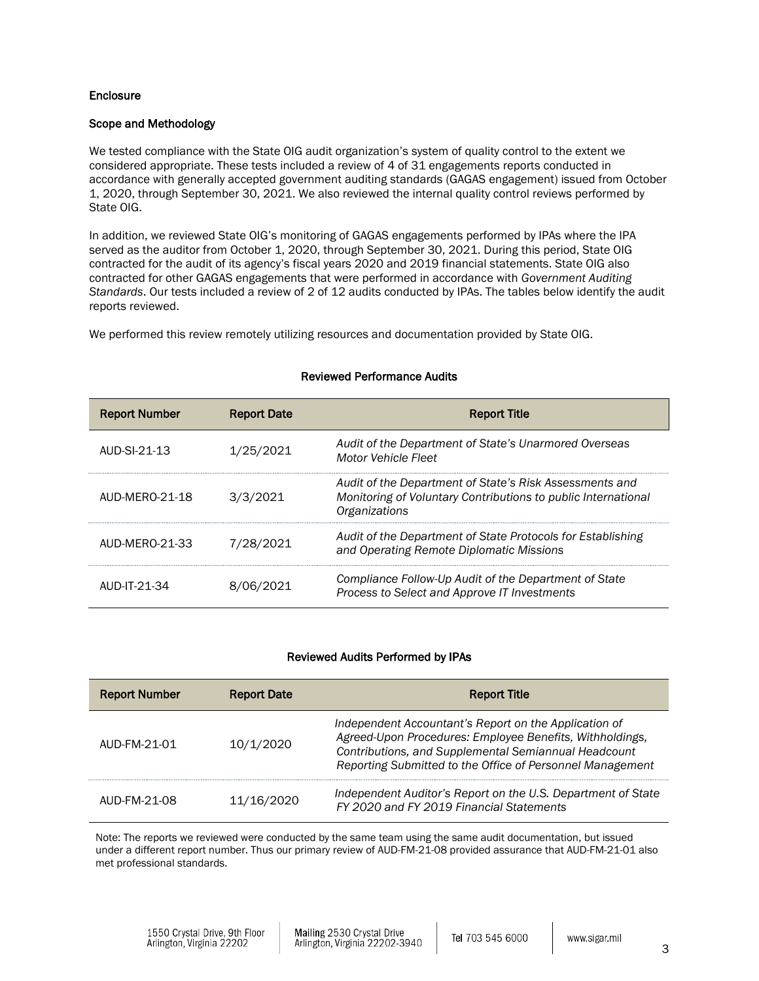## **Enclosure**

### Scope and Methodology

We tested compliance with the State OIG audit organization's system of quality control to the extent we considered appropriate. These tests included a review of 4 of 31 engagements reports conducted in accordance with generally accepted government auditing standards (GAGAS engagement) issued from October 1, 2020, through September 30, 2021. We also reviewed the internal quality control reviews performed by State OIG.

In addition, we reviewed State OIG's monitoring of GAGAS engagements performed by IPAs where the IPA served as the auditor from October 1, 2020, through September 30, 2021. During this period, State OIG contracted for the audit of its agency's fiscal years 2020 and 2019 financial statements. State OIG also contracted for other GAGAS engagements that were performed in accordance with *Government Auditing Standards*. Our tests included a review of 2 of 12 audits conducted by IPAs. The tables below identify the audit reports reviewed.

We performed this review remotely utilizing resources and documentation provided by State OIG.

| <b>Report Number</b> | <b>Report Date</b> | <b>Report Title</b>                                                                                                                       |
|----------------------|--------------------|-------------------------------------------------------------------------------------------------------------------------------------------|
| AUD-SI-21-13         | 1/25/2021          | Audit of the Department of State's Unarmored Overseas<br><b>Motor Vehicle Fleet</b>                                                       |
| AUD-MERO-21-18       | 3/3/2021           | Audit of the Department of State's Risk Assessments and<br>Monitoring of Voluntary Contributions to public International<br>Organizations |
| AUD-MERO-21-33       | 7/28/2021          | Audit of the Department of State Protocols for Establishing<br>and Operating Remote Diplomatic Missions                                   |
| AUD-IT-21-34         | 8/06/2021          | Compliance Follow-Up Audit of the Department of State<br>Process to Select and Approve IT Investments                                     |

### Reviewed Performance Audits

### Reviewed Audits Performed by IPAs

| <b>Report Number</b> | <b>Report Date</b> | <b>Report Title</b>                                                                                                                                                                                                                    |
|----------------------|--------------------|----------------------------------------------------------------------------------------------------------------------------------------------------------------------------------------------------------------------------------------|
| AUD-FM-21-01         | 10/1/2020          | Independent Accountant's Report on the Application of<br>Agreed-Upon Procedures: Employee Benefits, Withholdings,<br>Contributions, and Supplemental Semiannual Headcount<br>Reporting Submitted to the Office of Personnel Management |
| AUD-FM-21-08         | 11/16/2020         | Independent Auditor's Report on the U.S. Department of State<br>FY 2020 and FY 2019 Financial Statements                                                                                                                               |

Note: The reports we reviewed were conducted by the same team using the same audit documentation, but issued under a different report number. Thus our primary review of AUD-FM-21-08 provided assurance that AUD-FM-21-01 also met professional standards.